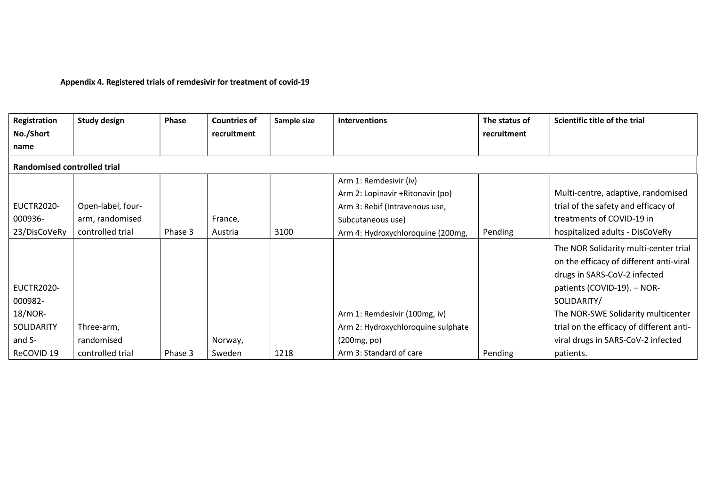## Appendix 4. Registered trials of remdesivir for treatment of covid-19

| Registration                       | <b>Study design</b> | <b>Phase</b> | <b>Countries of</b> | Sample size | <b>Interventions</b>               | The status of | Scientific title of the trial            |  |  |  |  |
|------------------------------------|---------------------|--------------|---------------------|-------------|------------------------------------|---------------|------------------------------------------|--|--|--|--|
| No./Short                          |                     |              | recruitment         |             |                                    | recruitment   |                                          |  |  |  |  |
| name                               |                     |              |                     |             |                                    |               |                                          |  |  |  |  |
| <b>Randomised controlled trial</b> |                     |              |                     |             |                                    |               |                                          |  |  |  |  |
|                                    |                     |              |                     |             | Arm 1: Remdesivir (iv)             |               |                                          |  |  |  |  |
|                                    |                     |              |                     |             | Arm 2: Lopinavir + Ritonavir (po)  |               | Multi-centre, adaptive, randomised       |  |  |  |  |
| <b>EUCTR2020-</b>                  | Open-label, four-   |              |                     |             | Arm 3: Rebif (Intravenous use,     |               | trial of the safety and efficacy of      |  |  |  |  |
| 000936-                            | arm, randomised     |              | France,             |             | Subcutaneous use)                  |               | treatments of COVID-19 in                |  |  |  |  |
| 23/DisCoVeRy                       | controlled trial    | Phase 3      | Austria             | 3100        | Arm 4: Hydroxychloroquine (200mg,  | Pending       | hospitalized adults - DisCoVeRy          |  |  |  |  |
|                                    |                     |              |                     |             |                                    |               | The NOR Solidarity multi-center trial    |  |  |  |  |
|                                    |                     |              |                     |             |                                    |               | on the efficacy of different anti-viral  |  |  |  |  |
|                                    |                     |              |                     |             |                                    |               | drugs in SARS-CoV-2 infected             |  |  |  |  |
| <b>EUCTR2020-</b>                  |                     |              |                     |             |                                    |               | patients (COVID-19). - NOR-              |  |  |  |  |
| 000982-                            |                     |              |                     |             |                                    |               | SOLIDARITY/                              |  |  |  |  |
| 18/NOR-                            |                     |              |                     |             | Arm 1: Remdesivir (100mg, iv)      |               | The NOR-SWE Solidarity multicenter       |  |  |  |  |
| SOLIDARITY                         | Three-arm,          |              |                     |             | Arm 2: Hydroxychloroquine sulphate |               | trial on the efficacy of different anti- |  |  |  |  |
| and S-                             | randomised          |              | Norway,             |             | (200mg, po)                        |               | viral drugs in SARS-CoV-2 infected       |  |  |  |  |
| ReCOVID 19                         | controlled trial    | Phase 3      | Sweden              | 1218        | Arm 3: Standard of care            | Pending       | patients.                                |  |  |  |  |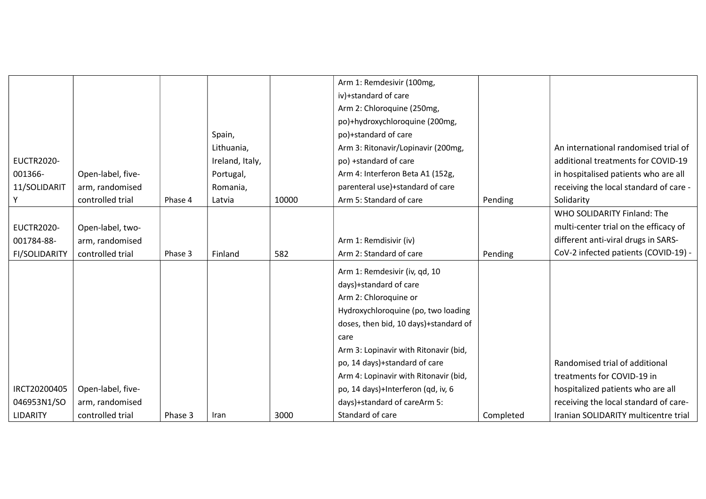| <b>EUCTR2020-</b><br>001366-<br>11/SOLIDARIT            | Open-label, five-<br>arm, randomised                    |         | Spain,<br>Lithuania,<br>Ireland, Italy,<br>Portugal,<br>Romania, |       | Arm 1: Remdesivir (100mg,<br>iv)+standard of care<br>Arm 2: Chloroquine (250mg,<br>po)+hydroxychloroquine (200mg,<br>po)+standard of care<br>Arm 3: Ritonavir/Lopinavir (200mg,<br>po) +standard of care<br>Arm 4: Interferon Beta A1 (152g,<br>parenteral use)+standard of care            |           | An international randomised trial of<br>additional treatments for COVID-19<br>in hospitalised patients who are all<br>receiving the local standard of care - |
|---------------------------------------------------------|---------------------------------------------------------|---------|------------------------------------------------------------------|-------|---------------------------------------------------------------------------------------------------------------------------------------------------------------------------------------------------------------------------------------------------------------------------------------------|-----------|--------------------------------------------------------------------------------------------------------------------------------------------------------------|
| Υ                                                       | controlled trial                                        | Phase 4 | Latvia                                                           | 10000 | Arm 5: Standard of care                                                                                                                                                                                                                                                                     | Pending   | Solidarity                                                                                                                                                   |
| <b>EUCTR2020-</b><br>001784-88-<br><b>FI/SOLIDARITY</b> | Open-label, two-<br>arm, randomised<br>controlled trial | Phase 3 | Finland                                                          | 582   | Arm 1: Remdisivir (iv)<br>Arm 2: Standard of care                                                                                                                                                                                                                                           | Pending   | WHO SOLIDARITY Finland: The<br>multi-center trial on the efficacy of<br>different anti-viral drugs in SARS-<br>CoV-2 infected patients (COVID-19) -          |
|                                                         |                                                         |         |                                                                  |       | Arm 1: Remdesivir (iv, qd, 10<br>days)+standard of care<br>Arm 2: Chloroquine or<br>Hydroxychloroquine (po, two loading<br>doses, then bid, 10 days)+standard of<br>care<br>Arm 3: Lopinavir with Ritonavir (bid,<br>po, 14 days)+standard of care<br>Arm 4: Lopinavir with Ritonavir (bid, |           | Randomised trial of additional<br>treatments for COVID-19 in                                                                                                 |
| IRCT20200405                                            | Open-label, five-                                       |         |                                                                  |       | po, 14 days)+Interferon (qd, iv, 6                                                                                                                                                                                                                                                          |           | hospitalized patients who are all                                                                                                                            |
| 046953N1/SO                                             | arm, randomised                                         |         |                                                                  |       | days)+standard of careArm 5:                                                                                                                                                                                                                                                                |           | receiving the local standard of care-                                                                                                                        |
| LIDARITY                                                | controlled trial                                        | Phase 3 | Iran                                                             | 3000  | Standard of care                                                                                                                                                                                                                                                                            | Completed | Iranian SOLIDARITY multicentre trial                                                                                                                         |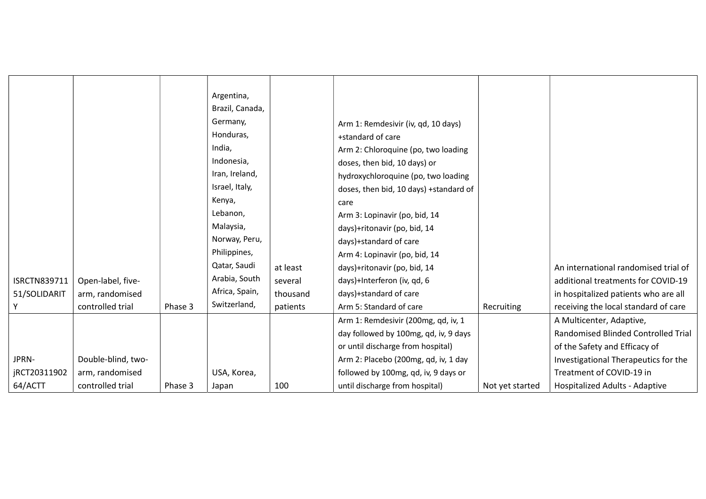|                     |                    |         | Argentina,      |          |                                        |                 |                                       |
|---------------------|--------------------|---------|-----------------|----------|----------------------------------------|-----------------|---------------------------------------|
|                     |                    |         | Brazil, Canada, |          |                                        |                 |                                       |
|                     |                    |         | Germany,        |          | Arm 1: Remdesivir (iv, qd, 10 days)    |                 |                                       |
|                     |                    |         | Honduras,       |          | +standard of care                      |                 |                                       |
|                     |                    |         | India,          |          | Arm 2: Chloroquine (po, two loading    |                 |                                       |
|                     |                    |         | Indonesia,      |          | doses, then bid, 10 days) or           |                 |                                       |
|                     |                    |         | Iran, Ireland,  |          | hydroxychloroquine (po, two loading    |                 |                                       |
|                     |                    |         | Israel, Italy,  |          | doses, then bid, 10 days) +standard of |                 |                                       |
|                     |                    |         | Kenya,          |          | care                                   |                 |                                       |
|                     |                    |         | Lebanon,        |          | Arm 3: Lopinavir (po, bid, 14          |                 |                                       |
|                     |                    |         | Malaysia,       |          | days)+ritonavir (po, bid, 14           |                 |                                       |
|                     |                    |         | Norway, Peru,   |          | days)+standard of care                 |                 |                                       |
|                     |                    |         | Philippines,    |          | Arm 4: Lopinavir (po, bid, 14          |                 |                                       |
|                     |                    |         | Qatar, Saudi    | at least | days)+ritonavir (po, bid, 14           |                 | An international randomised trial of  |
| <b>ISRCTN839711</b> | Open-label, five-  |         | Arabia, South   | several  | days)+Interferon (iv, qd, 6            |                 | additional treatments for COVID-19    |
| 51/SOLIDARIT        | arm, randomised    |         | Africa, Spain,  | thousand | days)+standard of care                 |                 | in hospitalized patients who are all  |
|                     | controlled trial   | Phase 3 | Switzerland,    | patients | Arm 5: Standard of care                | Recruiting      | receiving the local standard of care  |
|                     |                    |         |                 |          | Arm 1: Remdesivir (200mg, qd, iv, 1    |                 | A Multicenter, Adaptive,              |
|                     |                    |         |                 |          | day followed by 100mg, qd, iv, 9 days  |                 | Randomised Blinded Controlled Trial   |
|                     |                    |         |                 |          | or until discharge from hospital)      |                 | of the Safety and Efficacy of         |
| JPRN-               | Double-blind, two- |         |                 |          | Arm 2: Placebo (200mg, qd, iv, 1 day   |                 | Investigational Therapeutics for the  |
| jRCT20311902        | arm, randomised    |         | USA, Korea,     |          | followed by 100mg, qd, iv, 9 days or   |                 | Treatment of COVID-19 in              |
| 64/ACTT             | controlled trial   | Phase 3 | Japan           | 100      | until discharge from hospital)         | Not yet started | <b>Hospitalized Adults - Adaptive</b> |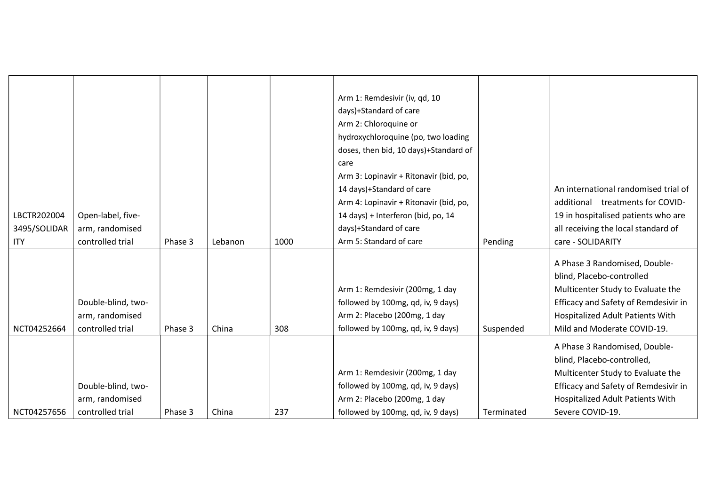| LBCTR202004<br>3495/SOLIDAR<br><b>ITY</b> | Open-label, five-<br>arm, randomised<br>controlled trial  | Phase 3 | Lebanon | 1000 | Arm 1: Remdesivir (iv, qd, 10<br>days)+Standard of care<br>Arm 2: Chloroquine or<br>hydroxychloroquine (po, two loading<br>doses, then bid, 10 days)+Standard of<br>care<br>Arm 3: Lopinavir + Ritonavir (bid, po,<br>14 days)+Standard of care<br>Arm 4: Lopinavir + Ritonavir (bid, po,<br>14 days) + Interferon (bid, po, 14<br>days)+Standard of care<br>Arm 5: Standard of care | Pending    | An international randomised trial of<br>additional treatments for COVID-<br>19 in hospitalised patients who are<br>all receiving the local standard of<br>care - SOLIDARITY                                |
|-------------------------------------------|-----------------------------------------------------------|---------|---------|------|--------------------------------------------------------------------------------------------------------------------------------------------------------------------------------------------------------------------------------------------------------------------------------------------------------------------------------------------------------------------------------------|------------|------------------------------------------------------------------------------------------------------------------------------------------------------------------------------------------------------------|
| NCT04252664                               | Double-blind, two-<br>arm, randomised<br>controlled trial | Phase 3 | China   | 308  | Arm 1: Remdesivir (200mg, 1 day<br>followed by 100mg, qd, iv, 9 days)<br>Arm 2: Placebo (200mg, 1 day<br>followed by 100mg, qd, iv, 9 days)                                                                                                                                                                                                                                          | Suspended  | A Phase 3 Randomised, Double-<br>blind, Placebo-controlled<br>Multicenter Study to Evaluate the<br>Efficacy and Safety of Remdesivir in<br>Hospitalized Adult Patients With<br>Mild and Moderate COVID-19. |
| NCT04257656                               | Double-blind, two-<br>arm, randomised<br>controlled trial | Phase 3 | China   | 237  | Arm 1: Remdesivir (200mg, 1 day<br>followed by 100mg, qd, iv, 9 days)<br>Arm 2: Placebo (200mg, 1 day<br>followed by 100mg, qd, iv, 9 days)                                                                                                                                                                                                                                          | Terminated | A Phase 3 Randomised, Double-<br>blind, Placebo-controlled,<br>Multicenter Study to Evaluate the<br>Efficacy and Safety of Remdesivir in<br>Hospitalized Adult Patients With<br>Severe COVID-19.           |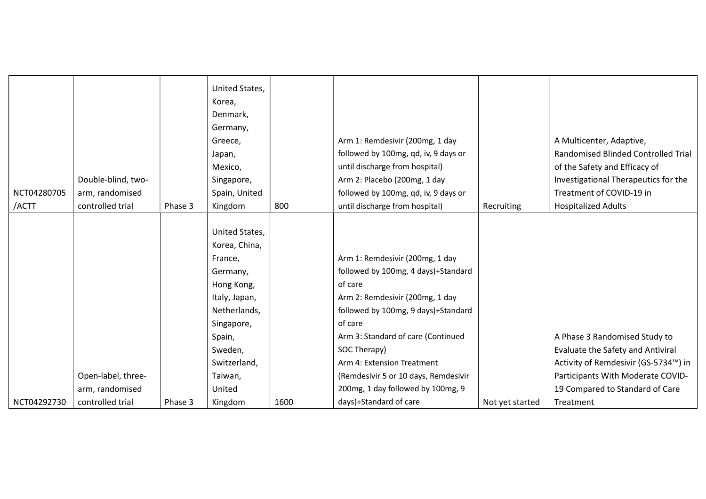| NCT04280705<br>/ACTT | Double-blind, two-<br>arm, randomised<br>controlled trial | Phase 3 | United States,<br>Korea,<br>Denmark,<br>Germany,<br>Greece,<br>Japan,<br>Mexico,<br>Singapore,<br>Spain, United<br>Kingdom | 800  | Arm 1: Remdesivir (200mg, 1 day<br>followed by 100mg, qd, iv, 9 days or<br>until discharge from hospital)<br>Arm 2: Placebo (200mg, 1 day<br>followed by 100mg, qd, iv, 9 days or<br>until discharge from hospital) | Recruiting      | A Multicenter, Adaptive,<br>Randomised Blinded Controlled Trial<br>of the Safety and Efficacy of<br>Investigational Therapeutics for the<br>Treatment of COVID-19 in<br><b>Hospitalized Adults</b> |
|----------------------|-----------------------------------------------------------|---------|----------------------------------------------------------------------------------------------------------------------------|------|---------------------------------------------------------------------------------------------------------------------------------------------------------------------------------------------------------------------|-----------------|----------------------------------------------------------------------------------------------------------------------------------------------------------------------------------------------------|
|                      |                                                           |         |                                                                                                                            |      |                                                                                                                                                                                                                     |                 |                                                                                                                                                                                                    |
|                      |                                                           |         | United States,                                                                                                             |      |                                                                                                                                                                                                                     |                 |                                                                                                                                                                                                    |
|                      |                                                           |         | Korea, China,                                                                                                              |      |                                                                                                                                                                                                                     |                 |                                                                                                                                                                                                    |
|                      |                                                           |         | France,                                                                                                                    |      | Arm 1: Remdesivir (200mg, 1 day                                                                                                                                                                                     |                 |                                                                                                                                                                                                    |
|                      |                                                           |         | Germany,                                                                                                                   |      | followed by 100mg, 4 days)+Standard                                                                                                                                                                                 |                 |                                                                                                                                                                                                    |
|                      |                                                           |         | Hong Kong,                                                                                                                 |      | of care                                                                                                                                                                                                             |                 |                                                                                                                                                                                                    |
|                      |                                                           |         | Italy, Japan,                                                                                                              |      | Arm 2: Remdesivir (200mg, 1 day                                                                                                                                                                                     |                 |                                                                                                                                                                                                    |
|                      |                                                           |         | Netherlands,                                                                                                               |      | followed by 100mg, 9 days)+Standard                                                                                                                                                                                 |                 |                                                                                                                                                                                                    |
|                      |                                                           |         | Singapore,                                                                                                                 |      | of care                                                                                                                                                                                                             |                 |                                                                                                                                                                                                    |
|                      |                                                           |         | Spain,                                                                                                                     |      | Arm 3: Standard of care (Continued                                                                                                                                                                                  |                 | A Phase 3 Randomised Study to                                                                                                                                                                      |
|                      |                                                           |         | Sweden,                                                                                                                    |      | SOC Therapy)                                                                                                                                                                                                        |                 | Evaluate the Safety and Antiviral                                                                                                                                                                  |
|                      |                                                           |         | Switzerland,                                                                                                               |      | Arm 4: Extension Treatment                                                                                                                                                                                          |                 | Activity of Remdesivir (GS-5734™) in                                                                                                                                                               |
|                      | Open-label, three-                                        |         | Taiwan,                                                                                                                    |      | (Remdesivir 5 or 10 days, Remdesivir                                                                                                                                                                                |                 | Participants With Moderate COVID-                                                                                                                                                                  |
|                      | arm, randomised                                           |         | United                                                                                                                     |      | 200mg, 1 day followed by 100mg, 9                                                                                                                                                                                   |                 | 19 Compared to Standard of Care                                                                                                                                                                    |
| NCT04292730          | controlled trial                                          | Phase 3 | Kingdom                                                                                                                    | 1600 | days)+Standard of care                                                                                                                                                                                              | Not yet started | Treatment                                                                                                                                                                                          |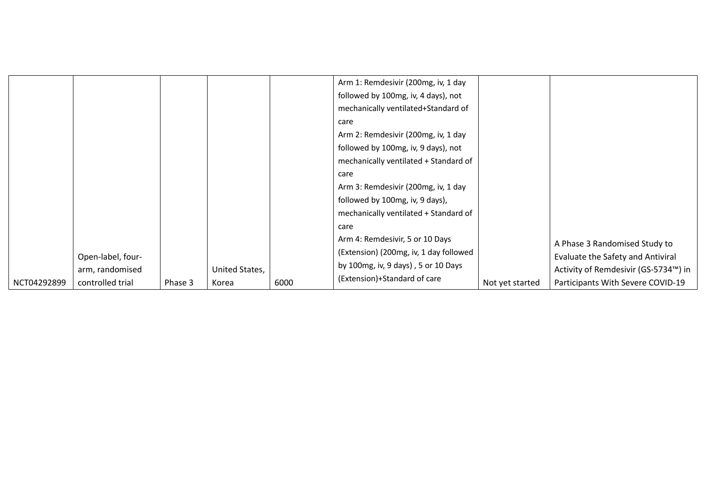|             | Open-label, four-<br>arm, randomised |         | United States, |      | Arm 1: Remdesivir (200mg, iv, 1 day<br>followed by 100mg, iv, 4 days), not<br>mechanically ventilated+Standard of<br>care<br>Arm 2: Remdesivir (200mg, iv, 1 day<br>followed by 100mg, iv, 9 days), not<br>mechanically ventilated + Standard of<br>care<br>Arm 3: Remdesivir (200mg, iv, 1 day<br>followed by 100mg, iv, 9 days),<br>mechanically ventilated + Standard of<br>care<br>Arm 4: Remdesivir, 5 or 10 Days<br>(Extension) (200mg, iv, 1 day followed<br>by 100mg, iv, 9 days), 5 or 10 Days |                 | A Phase 3 Randomised Study to<br>Evaluate the Safety and Antiviral<br>Activity of Remdesivir (GS-5734™) in |
|-------------|--------------------------------------|---------|----------------|------|---------------------------------------------------------------------------------------------------------------------------------------------------------------------------------------------------------------------------------------------------------------------------------------------------------------------------------------------------------------------------------------------------------------------------------------------------------------------------------------------------------|-----------------|------------------------------------------------------------------------------------------------------------|
| NCT04292899 | controlled trial                     | Phase 3 | Korea          | 6000 | (Extension)+Standard of care                                                                                                                                                                                                                                                                                                                                                                                                                                                                            | Not yet started | Participants With Severe COVID-19                                                                          |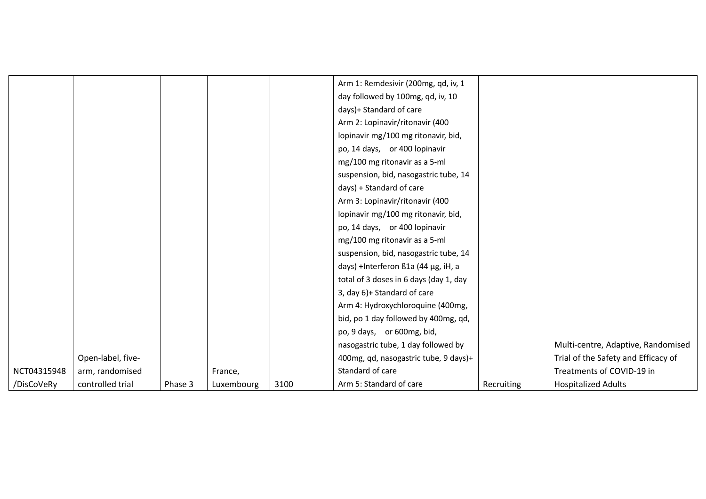|             |                   |         |            |      | Arm 1: Remdesivir (200mg, qd, iv, 1    |            |                                     |
|-------------|-------------------|---------|------------|------|----------------------------------------|------------|-------------------------------------|
|             |                   |         |            |      | day followed by 100mg, qd, iv, 10      |            |                                     |
|             |                   |         |            |      | days)+ Standard of care                |            |                                     |
|             |                   |         |            |      | Arm 2: Lopinavir/ritonavir (400        |            |                                     |
|             |                   |         |            |      | lopinavir mg/100 mg ritonavir, bid,    |            |                                     |
|             |                   |         |            |      | po, 14 days, or 400 lopinavir          |            |                                     |
|             |                   |         |            |      | mg/100 mg ritonavir as a 5-ml          |            |                                     |
|             |                   |         |            |      | suspension, bid, nasogastric tube, 14  |            |                                     |
|             |                   |         |            |      | days) + Standard of care               |            |                                     |
|             |                   |         |            |      | Arm 3: Lopinavir/ritonavir (400        |            |                                     |
|             |                   |         |            |      | lopinavir mg/100 mg ritonavir, bid,    |            |                                     |
|             |                   |         |            |      | po, 14 days, or 400 lopinavir          |            |                                     |
|             |                   |         |            |      | mg/100 mg ritonavir as a 5-ml          |            |                                     |
|             |                   |         |            |      | suspension, bid, nasogastric tube, 14  |            |                                     |
|             |                   |         |            |      | days) +Interferon ß1a (44 µg, iH, a    |            |                                     |
|             |                   |         |            |      | total of 3 doses in 6 days (day 1, day |            |                                     |
|             |                   |         |            |      | 3, day 6)+ Standard of care            |            |                                     |
|             |                   |         |            |      | Arm 4: Hydroxychloroquine (400mg,      |            |                                     |
|             |                   |         |            |      | bid, po 1 day followed by 400mg, qd,   |            |                                     |
|             |                   |         |            |      | po, 9 days, or 600mg, bid,             |            |                                     |
|             |                   |         |            |      | nasogastric tube, 1 day followed by    |            | Multi-centre, Adaptive, Randomised  |
|             | Open-label, five- |         |            |      | 400mg, qd, nasogastric tube, 9 days)+  |            | Trial of the Safety and Efficacy of |
| NCT04315948 | arm, randomised   |         | France,    |      | Standard of care                       |            | Treatments of COVID-19 in           |
| /DisCoVeRy  | controlled trial  | Phase 3 | Luxembourg | 3100 | Arm 5: Standard of care                | Recruiting | <b>Hospitalized Adults</b>          |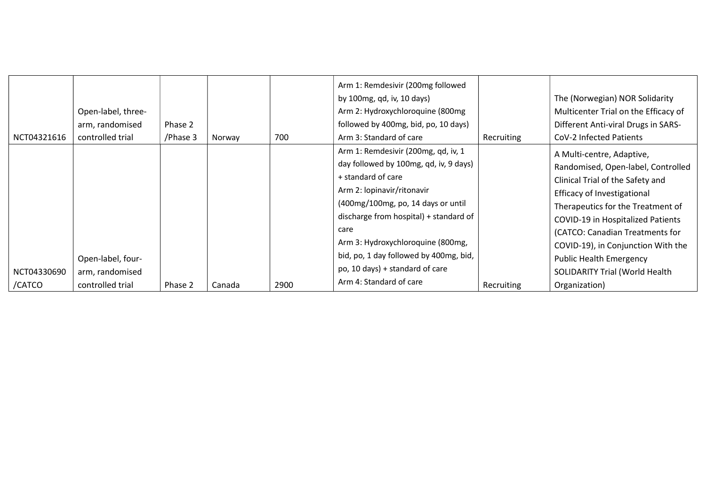| NCT04321616           | Open-label, three-<br>arm, randomised<br>controlled trial | Phase 2<br>/Phase 3 | Norway | 700  | Arm 1: Remdesivir (200mg followed<br>by 100mg, qd, iv, 10 days)<br>Arm 2: Hydroxychloroquine (800mg<br>followed by 400mg, bid, po, 10 days)<br>Arm 3: Standard of care                                                                                                                                                                                                 | Recruiting | The (Norwegian) NOR Solidarity<br>Multicenter Trial on the Efficacy of<br>Different Anti-viral Drugs in SARS-<br>CoV-2 Infected Patients                                                                                                                                                                                                                                          |
|-----------------------|-----------------------------------------------------------|---------------------|--------|------|------------------------------------------------------------------------------------------------------------------------------------------------------------------------------------------------------------------------------------------------------------------------------------------------------------------------------------------------------------------------|------------|-----------------------------------------------------------------------------------------------------------------------------------------------------------------------------------------------------------------------------------------------------------------------------------------------------------------------------------------------------------------------------------|
| NCT04330690<br>/CATCO | Open-label, four-<br>arm, randomised<br>controlled trial  | Phase 2             | Canada | 2900 | Arm 1: Remdesivir (200mg, qd, iv, 1<br>day followed by 100mg, qd, iv, 9 days)<br>+ standard of care<br>Arm 2: lopinavir/ritonavir<br>(400mg/100mg, po, 14 days or until<br>discharge from hospital) + standard of<br>care<br>Arm 3: Hydroxychloroquine (800mg,<br>bid, po, 1 day followed by 400mg, bid,<br>po, 10 days) + standard of care<br>Arm 4: Standard of care | Recruiting | A Multi-centre, Adaptive,<br>Randomised, Open-label, Controlled<br>Clinical Trial of the Safety and<br><b>Efficacy of Investigational</b><br>Therapeutics for the Treatment of<br>COVID-19 in Hospitalized Patients<br>(CATCO: Canadian Treatments for<br>COVID-19), in Conjunction With the<br><b>Public Health Emergency</b><br>SOLIDARITY Trial (World Health<br>Organization) |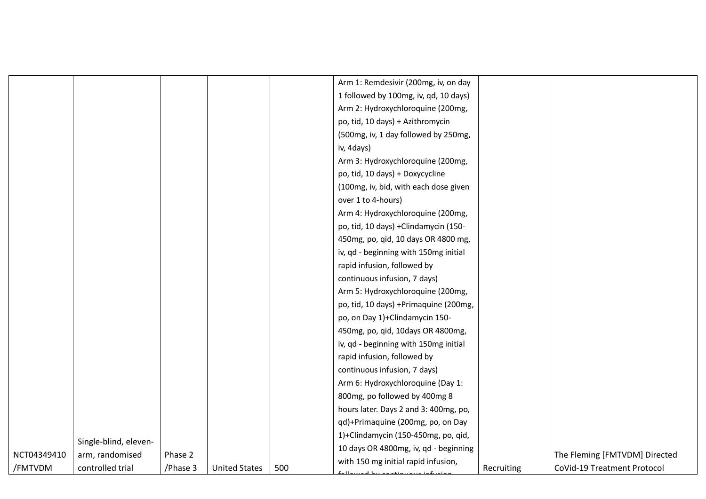|             |                       |          |                      |     | Arm 1: Remdesivir (200mg, iv, on day  |            |                               |
|-------------|-----------------------|----------|----------------------|-----|---------------------------------------|------------|-------------------------------|
|             |                       |          |                      |     | 1 followed by 100mg, iv, qd, 10 days) |            |                               |
|             |                       |          |                      |     | Arm 2: Hydroxychloroquine (200mg,     |            |                               |
|             |                       |          |                      |     | po, tid, 10 days) + Azithromycin      |            |                               |
|             |                       |          |                      |     | (500mg, iv, 1 day followed by 250mg,  |            |                               |
|             |                       |          |                      |     | iv, 4days)                            |            |                               |
|             |                       |          |                      |     | Arm 3: Hydroxychloroquine (200mg,     |            |                               |
|             |                       |          |                      |     | po, tid, 10 days) + Doxycycline       |            |                               |
|             |                       |          |                      |     | (100mg, iv, bid, with each dose given |            |                               |
|             |                       |          |                      |     | over 1 to 4-hours)                    |            |                               |
|             |                       |          |                      |     | Arm 4: Hydroxychloroquine (200mg,     |            |                               |
|             |                       |          |                      |     | po, tid, 10 days) + Clindamycin (150- |            |                               |
|             |                       |          |                      |     | 450mg, po, qid, 10 days OR 4800 mg,   |            |                               |
|             |                       |          |                      |     | iv, qd - beginning with 150mg initial |            |                               |
|             |                       |          |                      |     | rapid infusion, followed by           |            |                               |
|             |                       |          |                      |     | continuous infusion, 7 days)          |            |                               |
|             |                       |          |                      |     | Arm 5: Hydroxychloroquine (200mg,     |            |                               |
|             |                       |          |                      |     | po, tid, 10 days) +Primaquine (200mg, |            |                               |
|             |                       |          |                      |     | po, on Day 1)+Clindamycin 150-        |            |                               |
|             |                       |          |                      |     | 450mg, po, qid, 10days OR 4800mg,     |            |                               |
|             |                       |          |                      |     | iv, qd - beginning with 150mg initial |            |                               |
|             |                       |          |                      |     | rapid infusion, followed by           |            |                               |
|             |                       |          |                      |     | continuous infusion, 7 days)          |            |                               |
|             |                       |          |                      |     | Arm 6: Hydroxychloroquine (Day 1:     |            |                               |
|             |                       |          |                      |     | 800mg, po followed by 400mg 8         |            |                               |
|             |                       |          |                      |     | hours later. Days 2 and 3: 400mg, po, |            |                               |
|             |                       |          |                      |     | qd)+Primaquine (200mg, po, on Day     |            |                               |
|             | Single-blind, eleven- |          |                      |     | 1)+Clindamycin (150-450mg, po, qid,   |            |                               |
| NCT04349410 | arm, randomised       | Phase 2  |                      |     | 10 days OR 4800mg, iv, qd - beginning |            | The Fleming [FMTVDM] Directed |
| /FMTVDM     | controlled trial      | /Phase 3 | <b>United States</b> | 500 | with 150 mg initial rapid infusion,   | Recruiting | CoVid-19 Treatment Protocol   |
|             |                       |          |                      |     | <u>llouwd by continuous inf</u>       |            |                               |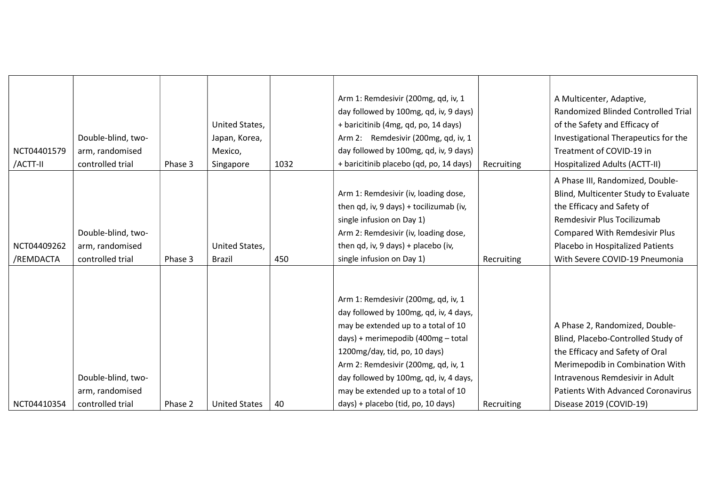|             |                    |         |                      |      | Arm 1: Remdesivir (200mg, qd, iv, 1     |            | A Multicenter, Adaptive,                  |
|-------------|--------------------|---------|----------------------|------|-----------------------------------------|------------|-------------------------------------------|
|             |                    |         |                      |      | day followed by 100mg, qd, iv, 9 days)  |            | Randomized Blinded Controlled Trial       |
|             |                    |         | United States,       |      | + baricitinib (4mg, qd, po, 14 days)    |            | of the Safety and Efficacy of             |
|             | Double-blind, two- |         | Japan, Korea,        |      | Arm 2: Remdesivir (200mg, qd, iv, 1)    |            | Investigational Therapeutics for the      |
| NCT04401579 | arm, randomised    |         | Mexico,              |      | day followed by 100mg, qd, iv, 9 days)  |            | Treatment of COVID-19 in                  |
| /ACTT-II    | controlled trial   | Phase 3 | Singapore            | 1032 | + baricitinib placebo (qd, po, 14 days) | Recruiting | Hospitalized Adults (ACTT-II)             |
|             |                    |         |                      |      |                                         |            | A Phase III, Randomized, Double-          |
|             |                    |         |                      |      | Arm 1: Remdesivir (iv, loading dose,    |            | Blind, Multicenter Study to Evaluate      |
|             |                    |         |                      |      | then qd, iv, 9 days) + tocilizumab (iv, |            | the Efficacy and Safety of                |
|             |                    |         |                      |      | single infusion on Day 1)               |            | Remdesivir Plus Tocilizumab               |
|             | Double-blind, two- |         |                      |      | Arm 2: Remdesivir (iv, loading dose,    |            | <b>Compared With Remdesivir Plus</b>      |
| NCT04409262 | arm, randomised    |         | United States,       |      | then qd, iv, 9 days) + placebo (iv,     |            | Placebo in Hospitalized Patients          |
| /REMDACTA   | controlled trial   | Phase 3 | <b>Brazil</b>        | 450  | single infusion on Day 1)               | Recruiting | With Severe COVID-19 Pneumonia            |
|             |                    |         |                      |      |                                         |            |                                           |
|             |                    |         |                      |      |                                         |            |                                           |
|             |                    |         |                      |      | Arm 1: Remdesivir (200mg, qd, iv, 1     |            |                                           |
|             |                    |         |                      |      | day followed by 100mg, qd, iv, 4 days,  |            |                                           |
|             |                    |         |                      |      | may be extended up to a total of 10     |            | A Phase 2, Randomized, Double-            |
|             |                    |         |                      |      | days) + merimepodib (400mg - total      |            | Blind, Placebo-Controlled Study of        |
|             |                    |         |                      |      | 1200mg/day, tid, po, 10 days)           |            | the Efficacy and Safety of Oral           |
|             |                    |         |                      |      | Arm 2: Remdesivir (200mg, qd, iv, 1     |            | Merimepodib in Combination With           |
|             | Double-blind, two- |         |                      |      | day followed by 100mg, qd, iv, 4 days,  |            | Intravenous Remdesivir in Adult           |
|             | arm, randomised    |         |                      |      | may be extended up to a total of 10     |            | <b>Patients With Advanced Coronavirus</b> |
| NCT04410354 | controlled trial   | Phase 2 | <b>United States</b> | 40   | days) + placebo (tid, po, 10 days)      | Recruiting | Disease 2019 (COVID-19)                   |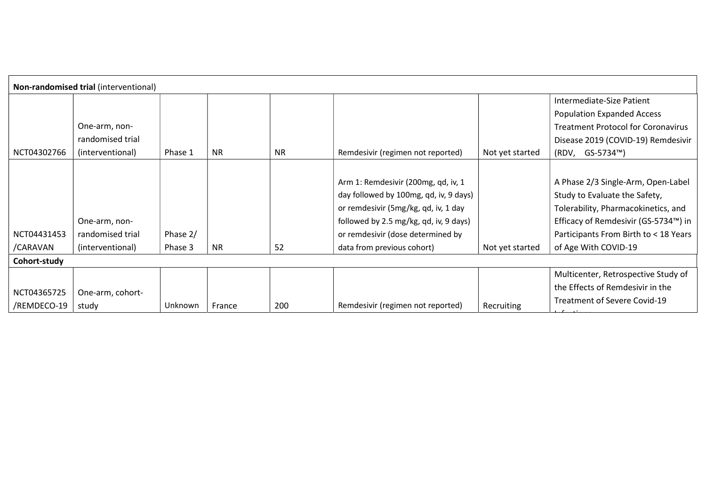| Non-randomised trial (interventional) |                  |          |           |           |                                        |                 |                                           |  |  |  |  |
|---------------------------------------|------------------|----------|-----------|-----------|----------------------------------------|-----------------|-------------------------------------------|--|--|--|--|
|                                       |                  |          |           |           |                                        |                 | Intermediate-Size Patient                 |  |  |  |  |
|                                       |                  |          |           |           |                                        |                 | Population Expanded Access                |  |  |  |  |
|                                       | One-arm, non-    |          |           |           |                                        |                 | <b>Treatment Protocol for Coronavirus</b> |  |  |  |  |
|                                       | randomised trial |          |           |           |                                        |                 | Disease 2019 (COVID-19) Remdesivir        |  |  |  |  |
| NCT04302766                           | (interventional) | Phase 1  | <b>NR</b> | <b>NR</b> | Remdesivir (regimen not reported)      | Not yet started | (RDV, GS-5734™)                           |  |  |  |  |
|                                       |                  |          |           |           |                                        |                 |                                           |  |  |  |  |
|                                       |                  |          |           |           | Arm 1: Remdesivir (200mg, qd, iv, 1    |                 | A Phase 2/3 Single-Arm, Open-Label        |  |  |  |  |
|                                       |                  |          |           |           | day followed by 100mg, qd, iv, 9 days) |                 | Study to Evaluate the Safety,             |  |  |  |  |
|                                       |                  |          |           |           | or remdesivir (5mg/kg, qd, iv, 1 day   |                 | Tolerability, Pharmacokinetics, and       |  |  |  |  |
|                                       | One-arm, non-    |          |           |           | followed by 2.5 mg/kg, qd, iv, 9 days) |                 | Efficacy of Remdesivir (GS-5734™) in      |  |  |  |  |
| NCT04431453                           | randomised trial | Phase 2/ |           |           | or remdesivir (dose determined by      |                 | Participants From Birth to < 18 Years     |  |  |  |  |
| /CARAVAN                              | (interventional) | Phase 3  | <b>NR</b> | 52        | data from previous cohort)             | Not yet started | of Age With COVID-19                      |  |  |  |  |
| Cohort-study                          |                  |          |           |           |                                        |                 |                                           |  |  |  |  |
|                                       |                  |          |           |           |                                        |                 | Multicenter, Retrospective Study of       |  |  |  |  |
| NCT04365725                           | One-arm, cohort- |          |           |           |                                        |                 | the Effects of Remdesivir in the          |  |  |  |  |
| /REMDECO-19                           | study            | Unknown  | France    | 200       | Remdesivir (regimen not reported)      | Recruiting      | Treatment of Severe Covid-19              |  |  |  |  |
|                                       |                  |          |           |           |                                        |                 |                                           |  |  |  |  |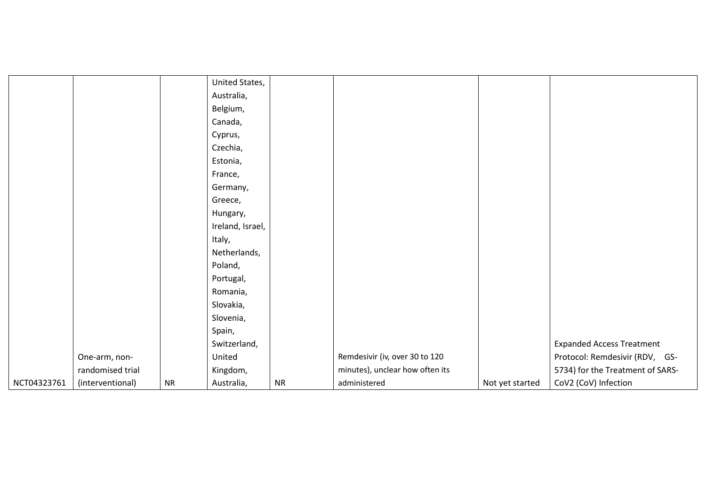|             |                  |           | United States,   |           |                                 |                 |                                  |
|-------------|------------------|-----------|------------------|-----------|---------------------------------|-----------------|----------------------------------|
|             |                  |           | Australia,       |           |                                 |                 |                                  |
|             |                  |           | Belgium,         |           |                                 |                 |                                  |
|             |                  |           | Canada,          |           |                                 |                 |                                  |
|             |                  |           | Cyprus,          |           |                                 |                 |                                  |
|             |                  |           | Czechia,         |           |                                 |                 |                                  |
|             |                  |           | Estonia,         |           |                                 |                 |                                  |
|             |                  |           | France,          |           |                                 |                 |                                  |
|             |                  |           | Germany,         |           |                                 |                 |                                  |
|             |                  |           | Greece,          |           |                                 |                 |                                  |
|             |                  |           | Hungary,         |           |                                 |                 |                                  |
|             |                  |           | Ireland, Israel, |           |                                 |                 |                                  |
|             |                  |           | Italy,           |           |                                 |                 |                                  |
|             |                  |           | Netherlands,     |           |                                 |                 |                                  |
|             |                  |           | Poland,          |           |                                 |                 |                                  |
|             |                  |           | Portugal,        |           |                                 |                 |                                  |
|             |                  |           | Romania,         |           |                                 |                 |                                  |
|             |                  |           | Slovakia,        |           |                                 |                 |                                  |
|             |                  |           | Slovenia,        |           |                                 |                 |                                  |
|             |                  |           | Spain,           |           |                                 |                 |                                  |
|             |                  |           | Switzerland,     |           |                                 |                 | <b>Expanded Access Treatment</b> |
|             | One-arm, non-    |           | United           |           | Remdesivir (iv, over 30 to 120  |                 | Protocol: Remdesivir (RDV, GS-   |
|             | randomised trial |           | Kingdom,         |           | minutes), unclear how often its |                 | 5734) for the Treatment of SARS- |
| NCT04323761 | (interventional) | <b>NR</b> | Australia,       | <b>NR</b> | administered                    | Not yet started | CoV2 (CoV) Infection             |